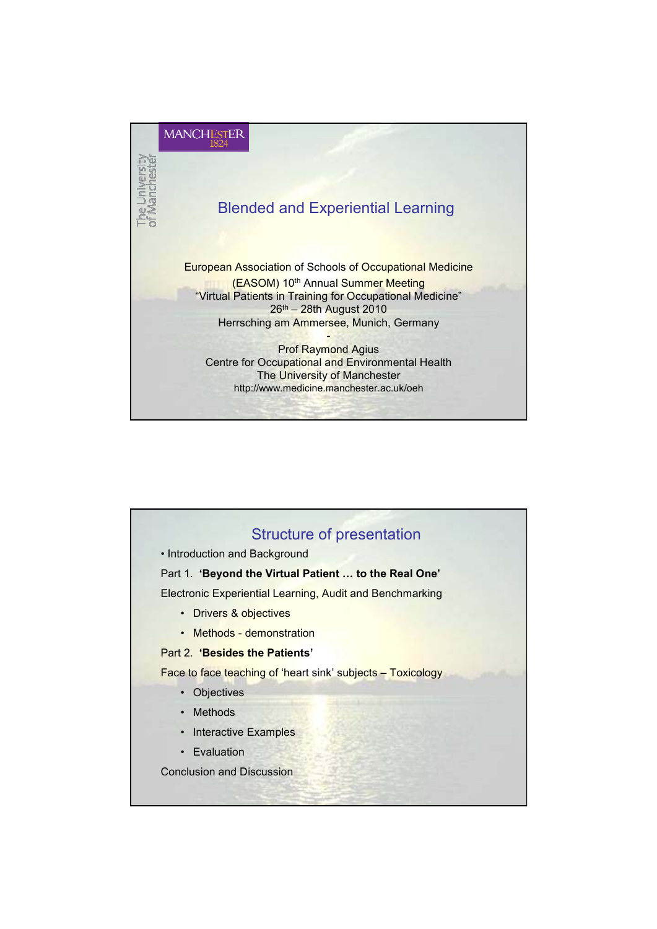

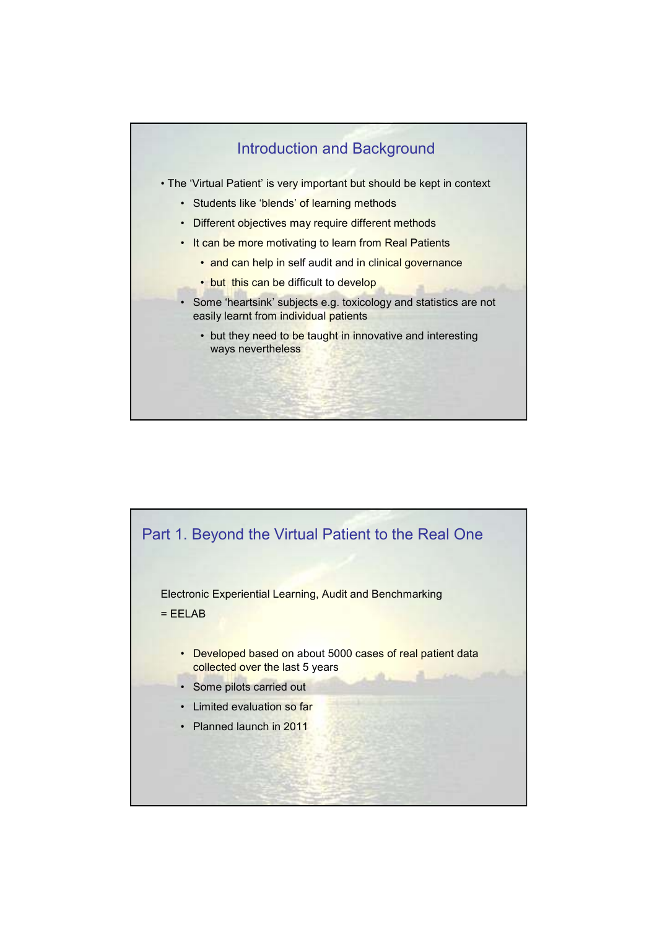

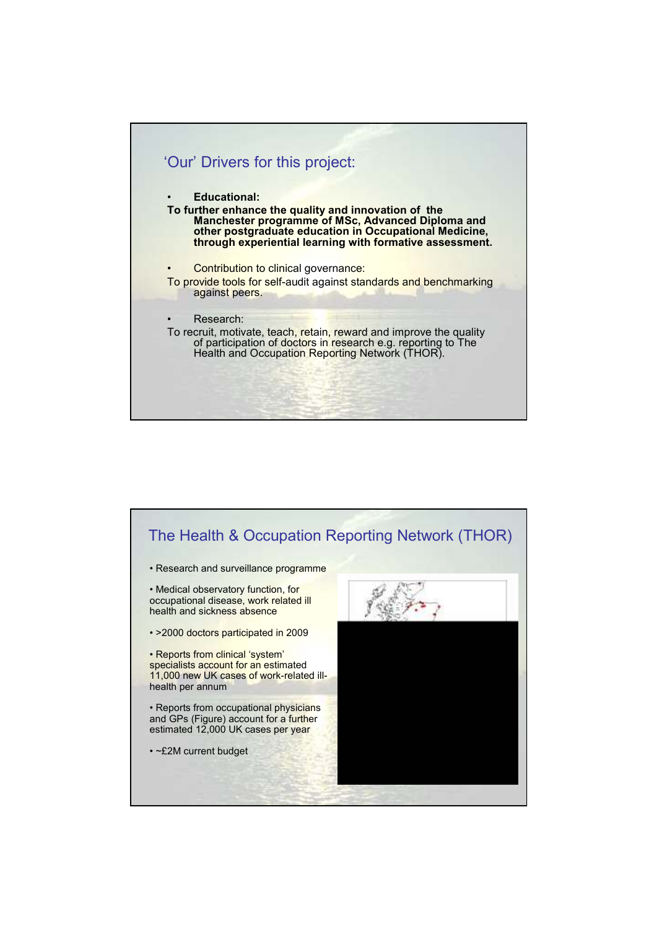

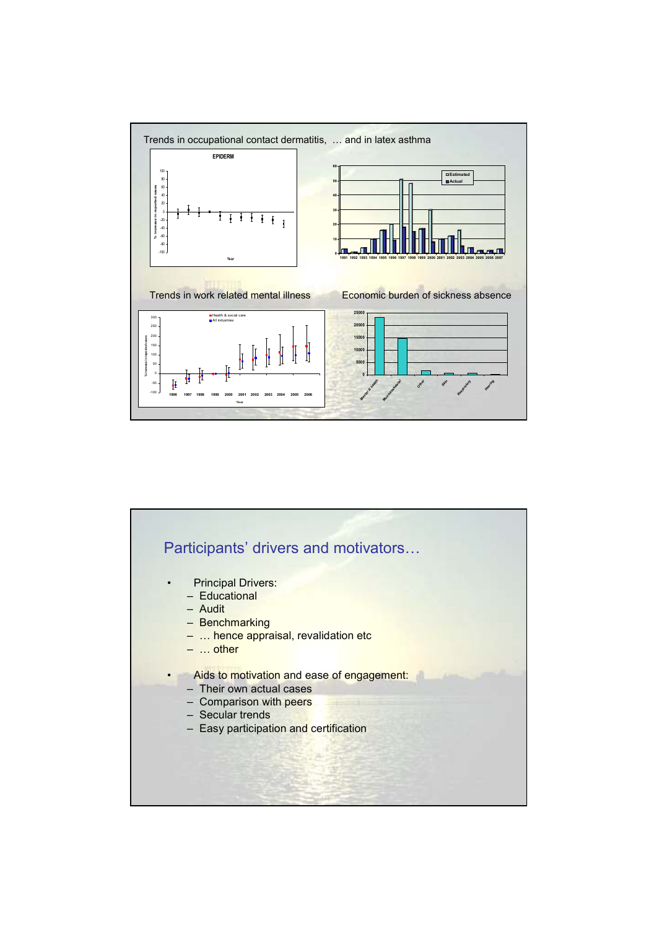

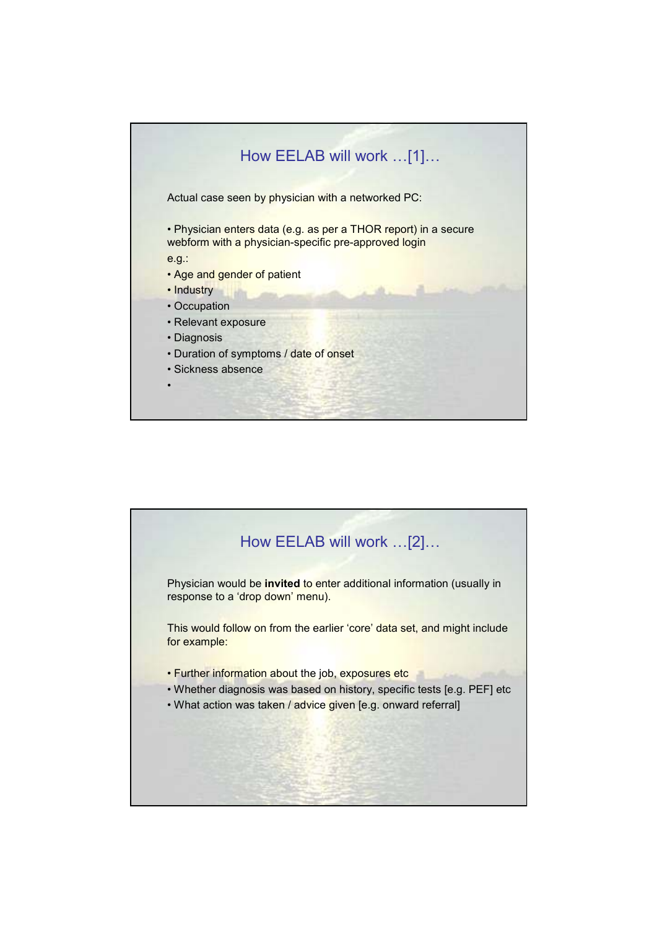

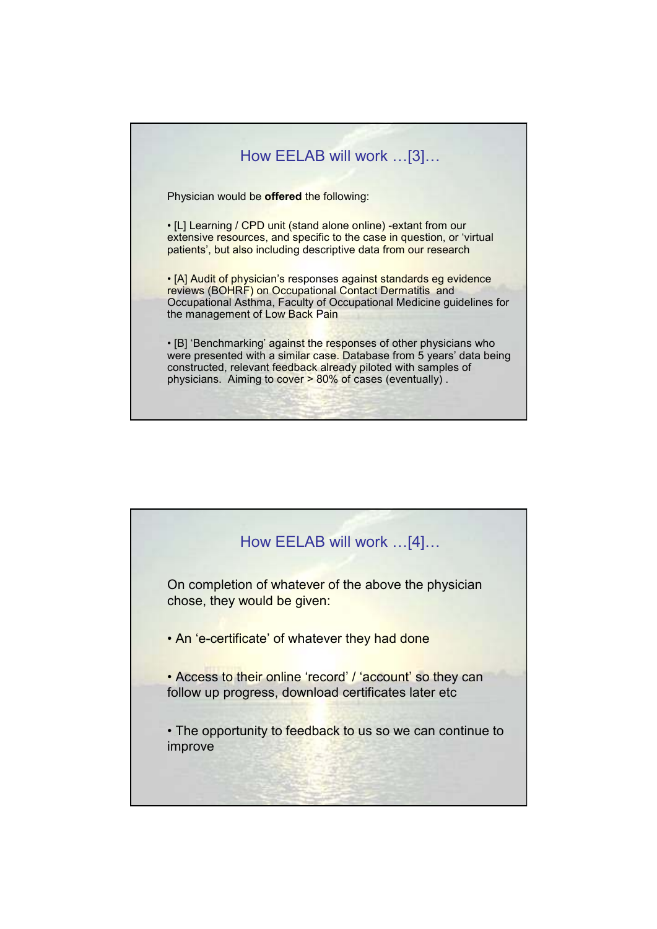## How EELAB will work …[3]…

Physician would be **offered** the following:

• [L] Learning / CPD unit (stand alone online) -extant from our extensive resources, and specific to the case in question, or 'virtual patients', but also including descriptive data from our research

• [A] Audit of physician's responses against standards eg evidence reviews (BOHRF) on Occupational Contact Dermatitis and Occupational Asthma, Faculty of Occupational Medicine guidelines for the management of Low Back Pain

• [B] 'Benchmarking' against the responses of other physicians who were presented with a similar case. Database from 5 years' data being constructed, relevant feedback already piloted with samples of physicians. Aiming to cover > 80% of cases (eventually) .

# How EELAB will work …[4]… On completion of whatever of the above the physician chose, they would be given: • An 'e-certificate' of whatever they had done • Access to their online 'record' / 'account' so they can follow up progress, download certificates later etc • The opportunity to feedback to us so we can continue to improve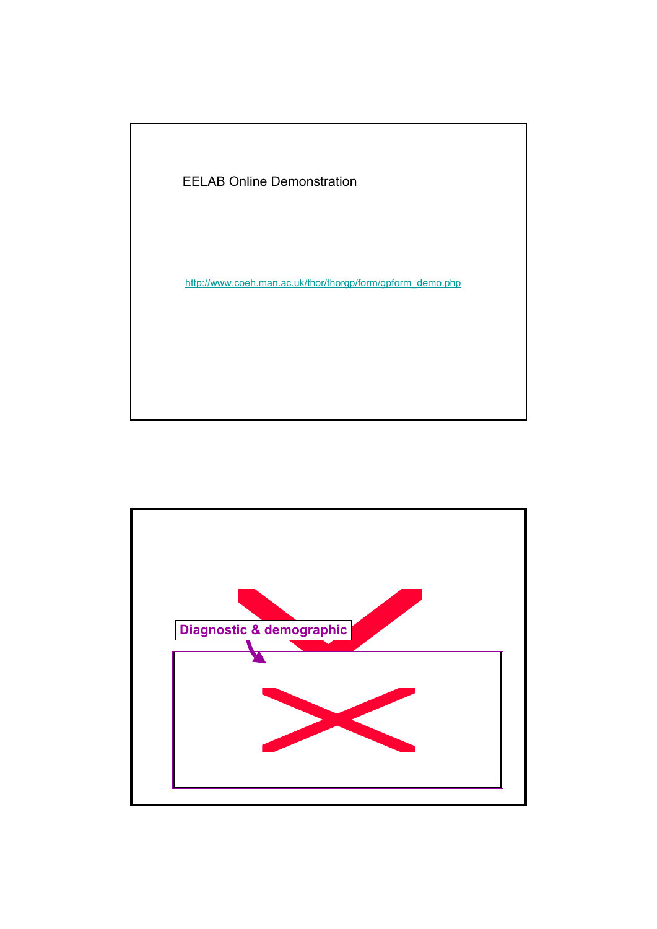

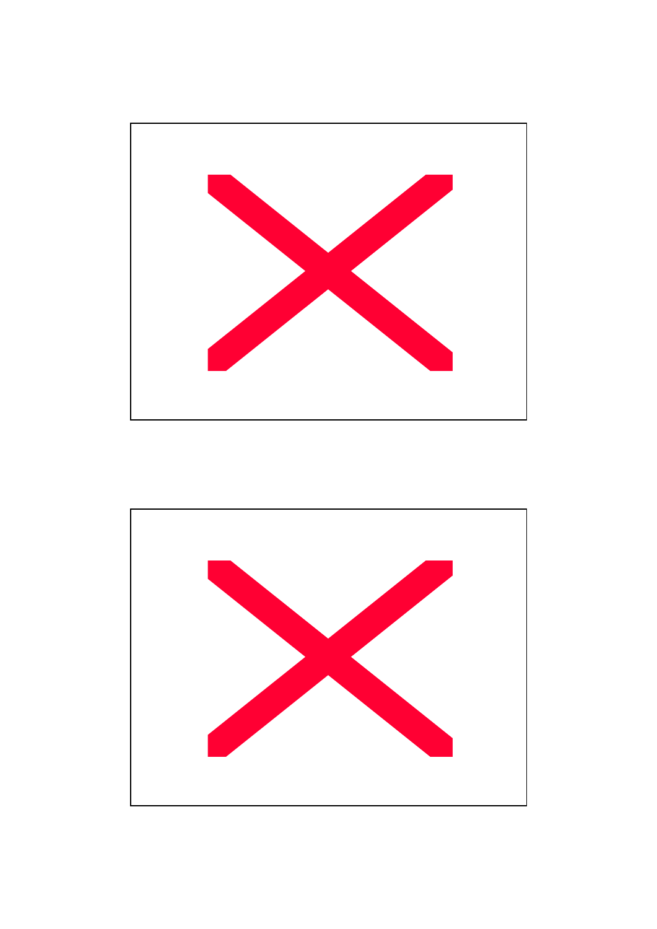

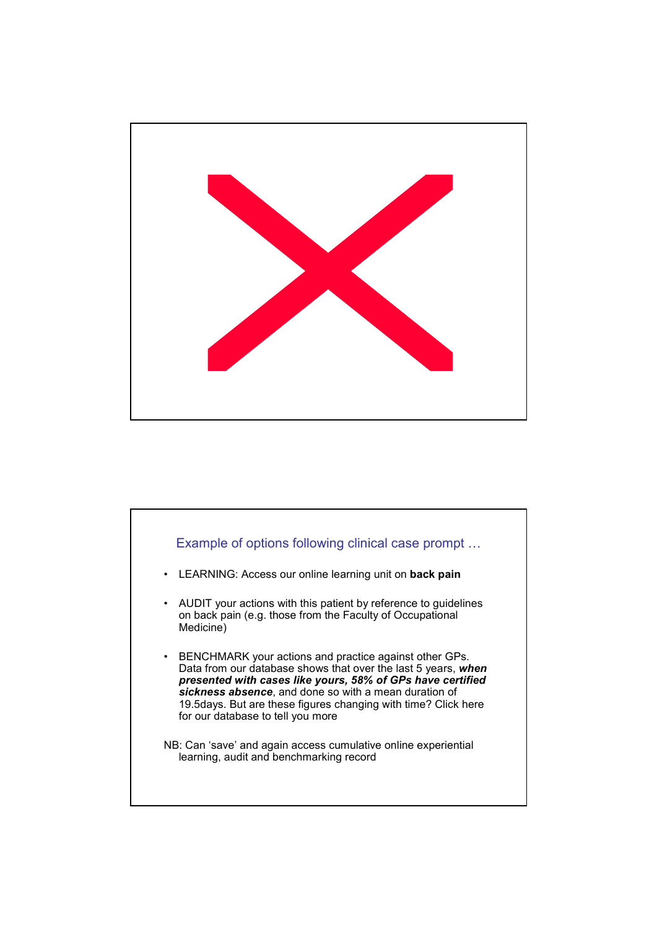

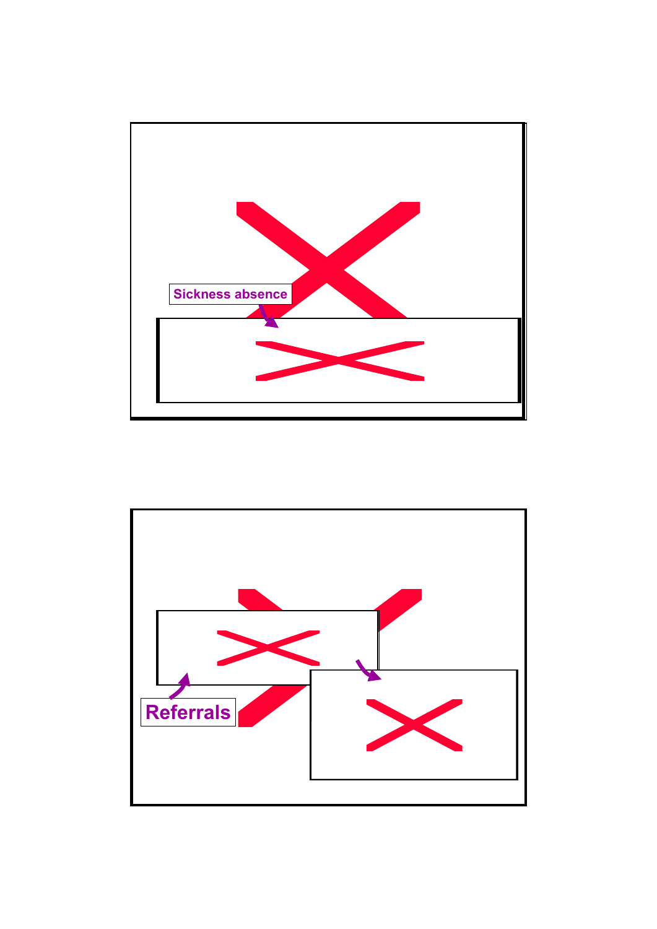

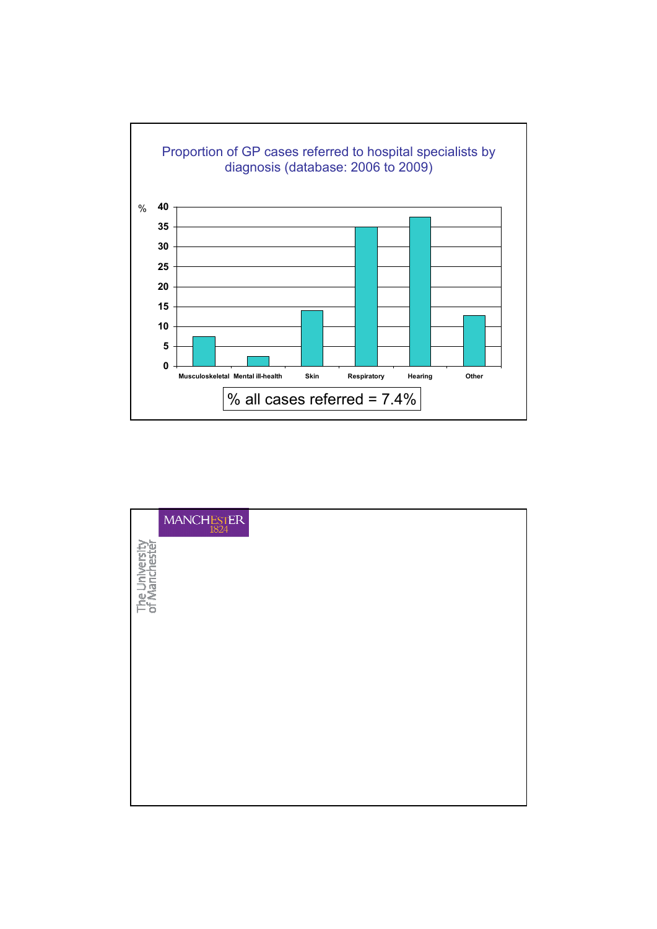

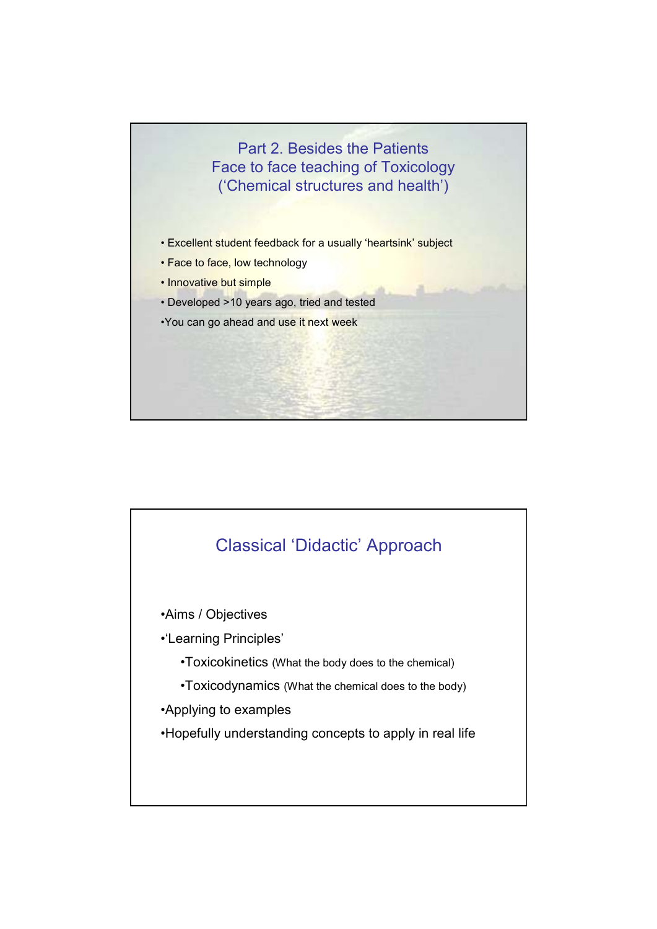

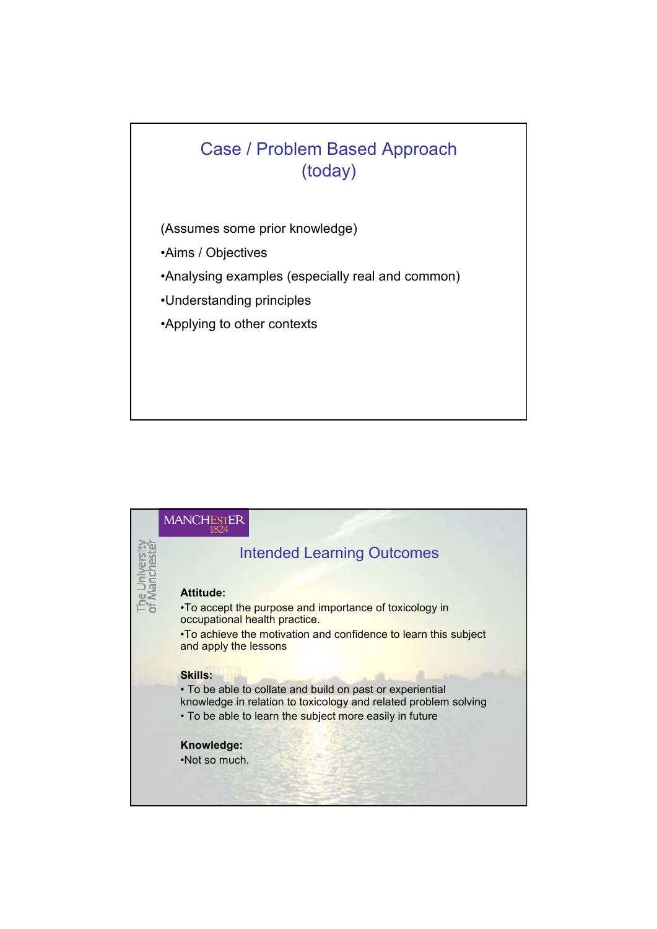### Case / Problem Based Approach (today)

(Assumes some prior knowledge)

•Aims / Objectives

- •Analysing examples (especially real and common)
- •Understanding principles
- •Applying to other contexts

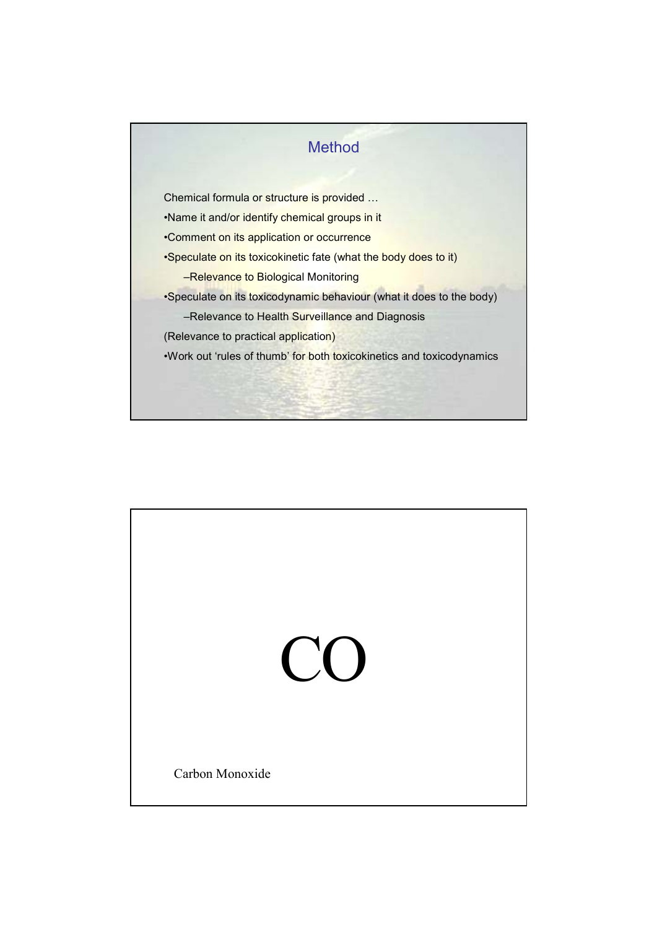#### Method

Chemical formula or structure is provided … •Name it and/or identify chemical groups in it •Comment on its application or occurrence •Speculate on its toxicokinetic fate (what the body does to it) –Relevance to Biological Monitoring •Speculate on its toxicodynamic behaviour (what it does to the body) –Relevance to Health Surveillance and Diagnosis (Relevance to practical application) •Work out 'rules of thumb' for both toxicokinetics and toxicodynamics

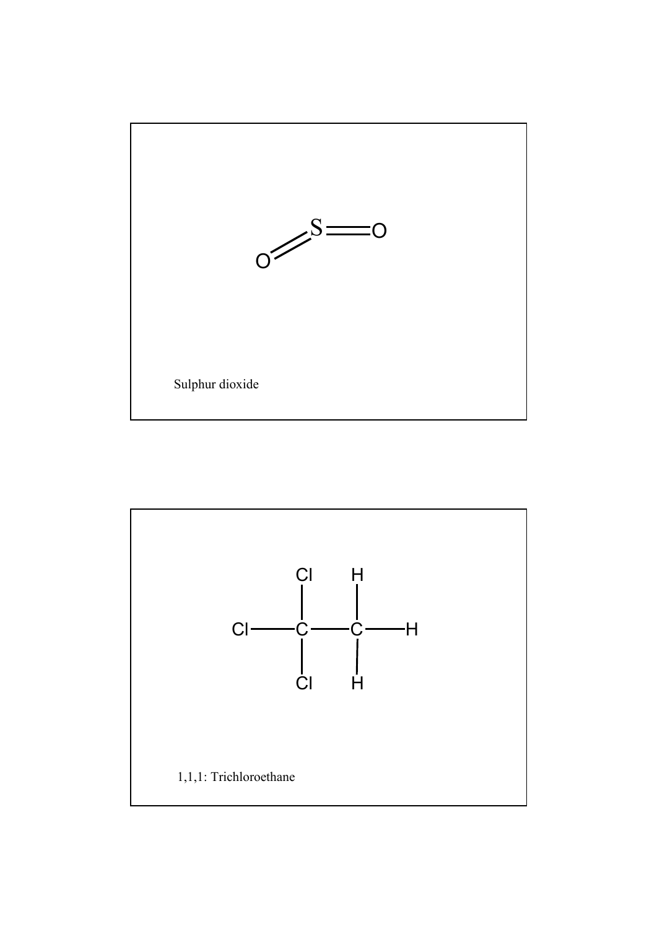

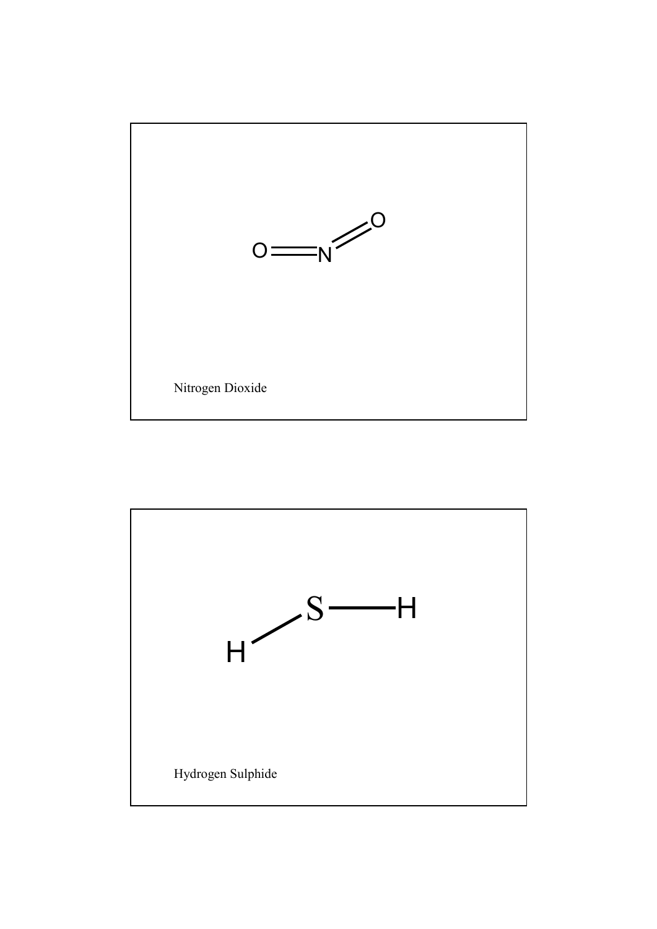

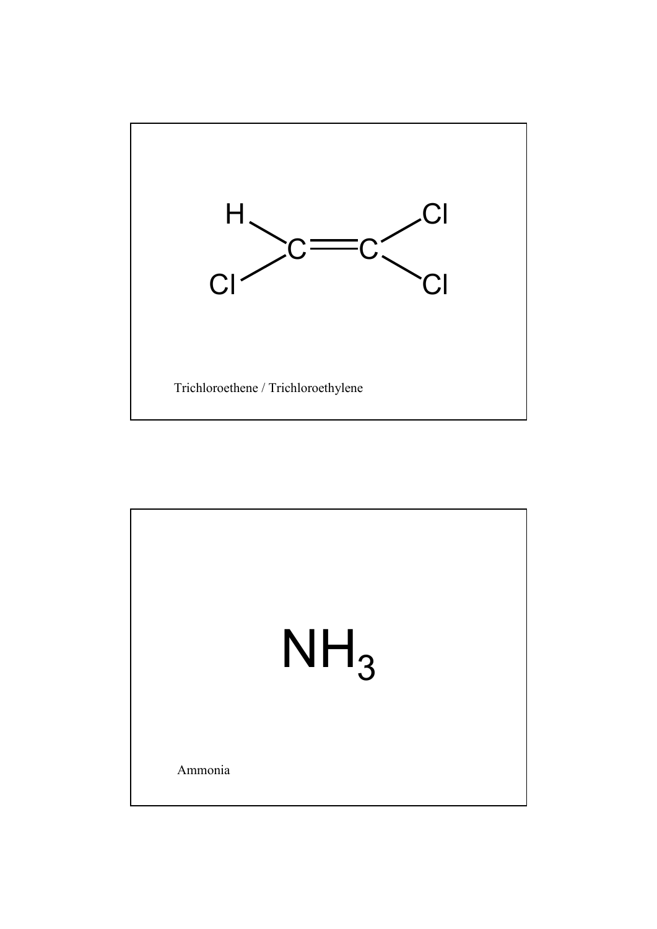

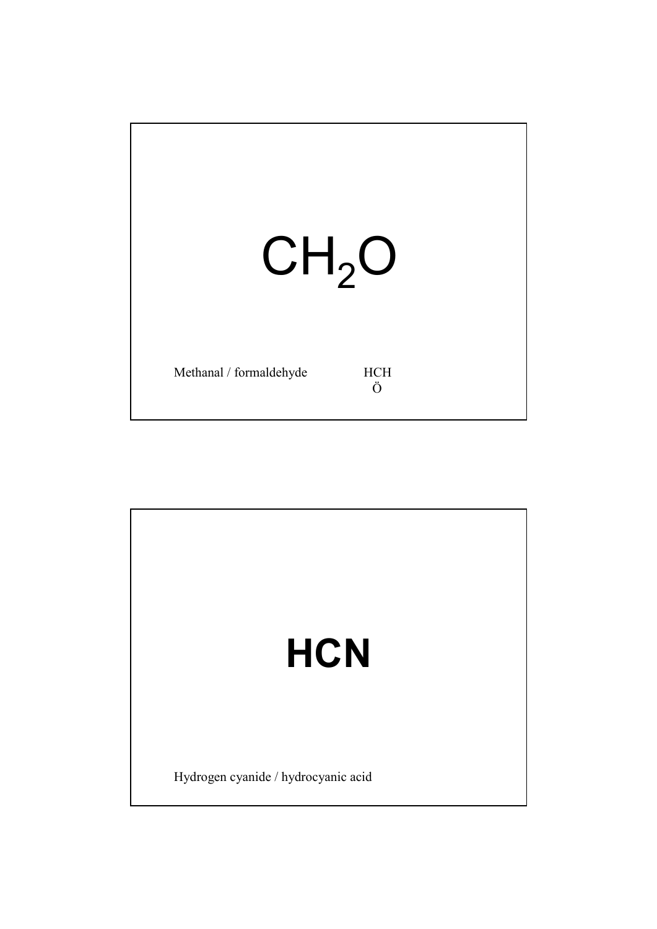

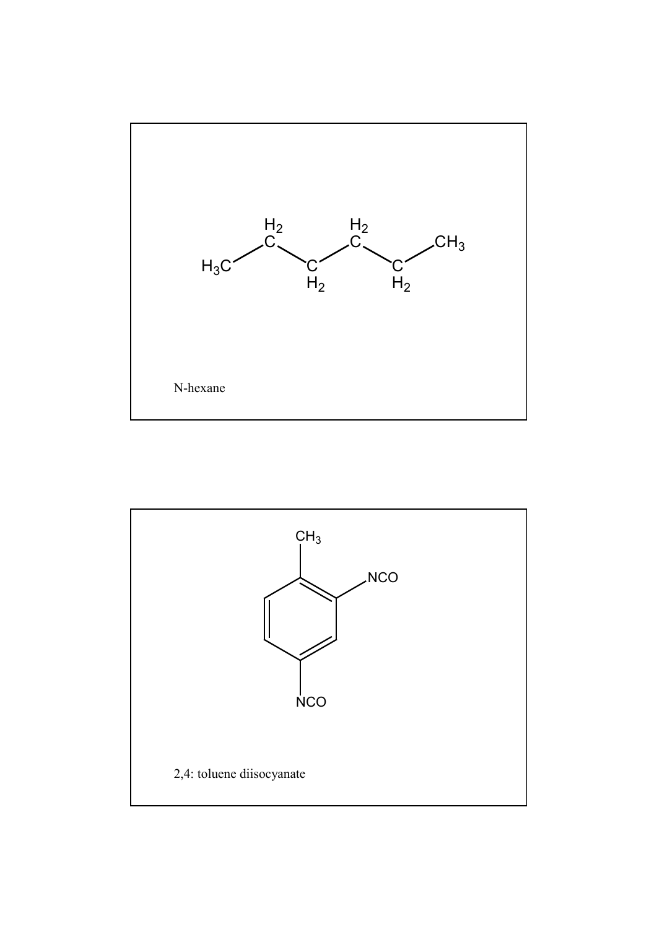

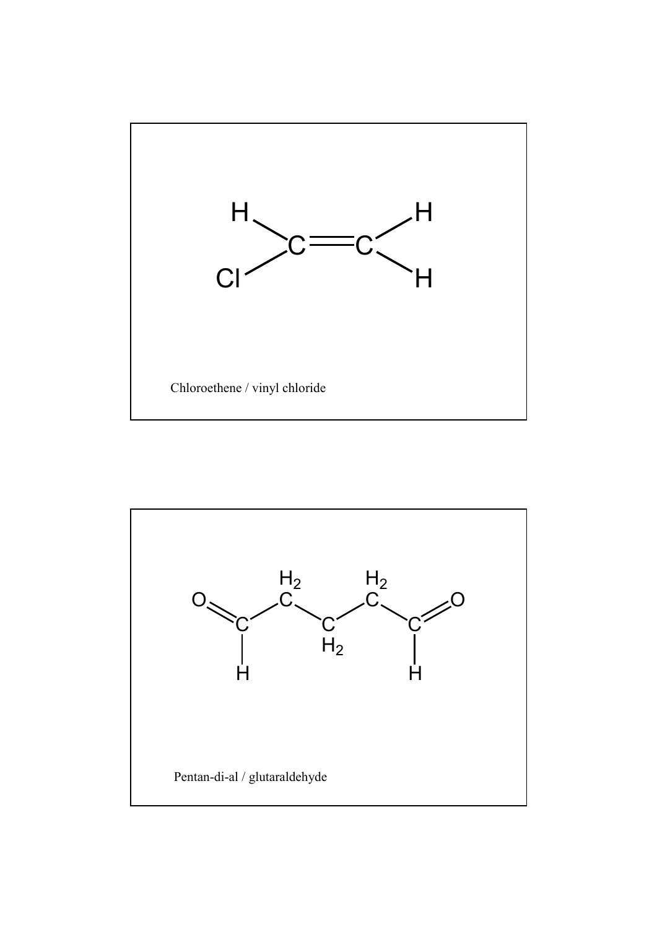

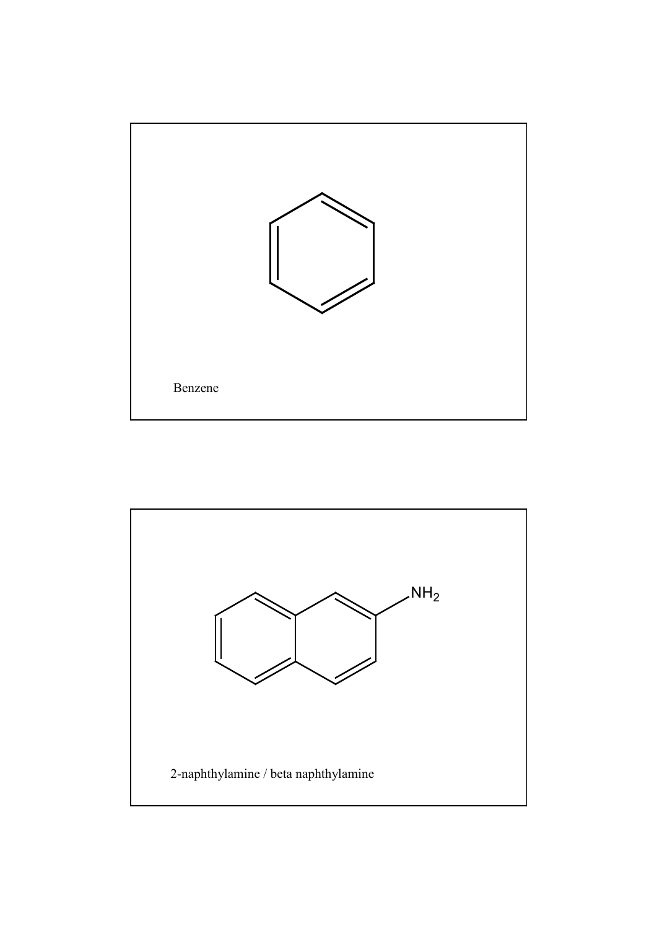

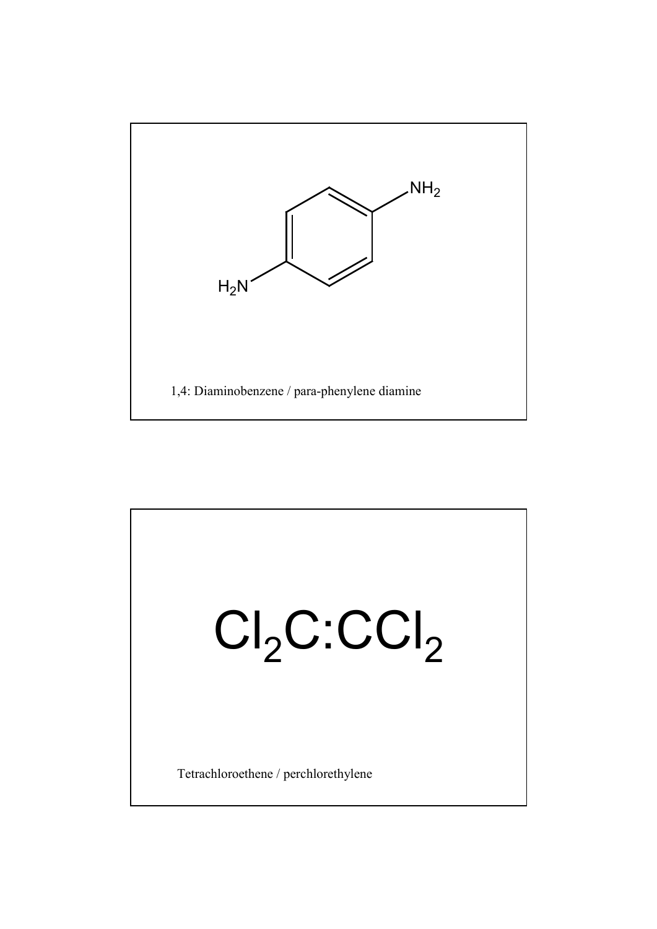

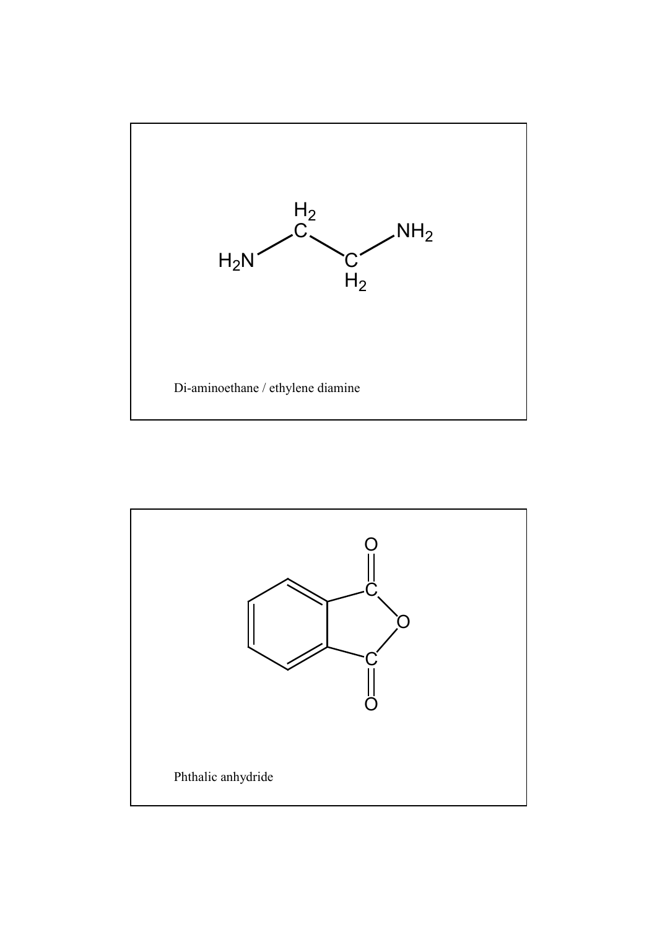

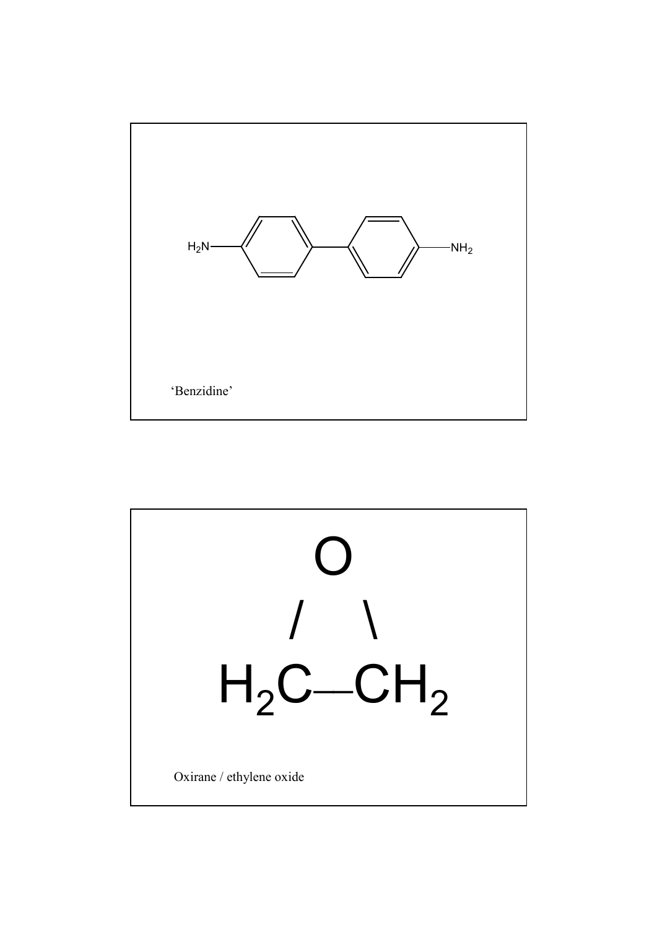

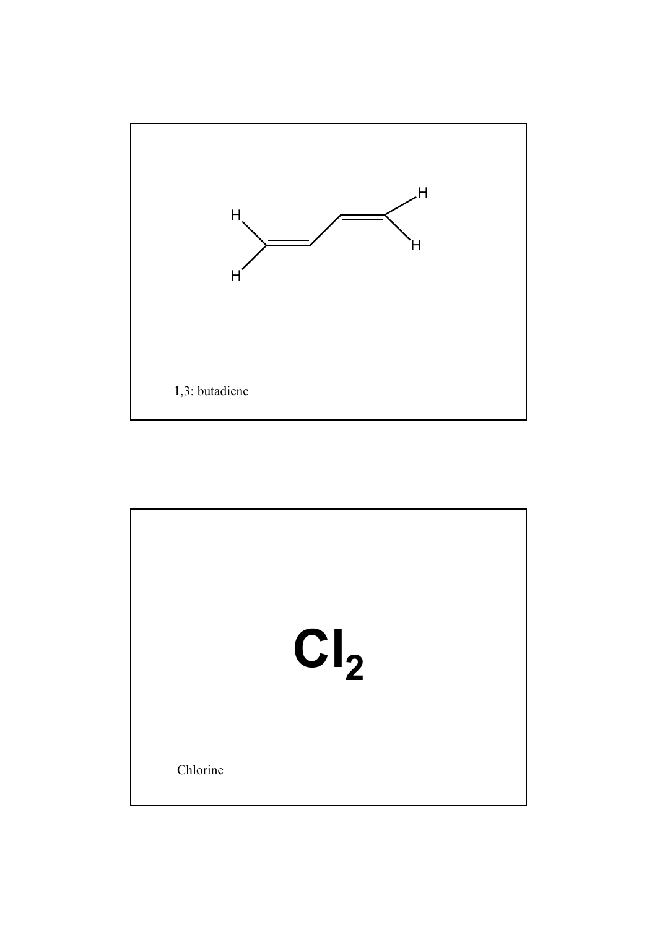

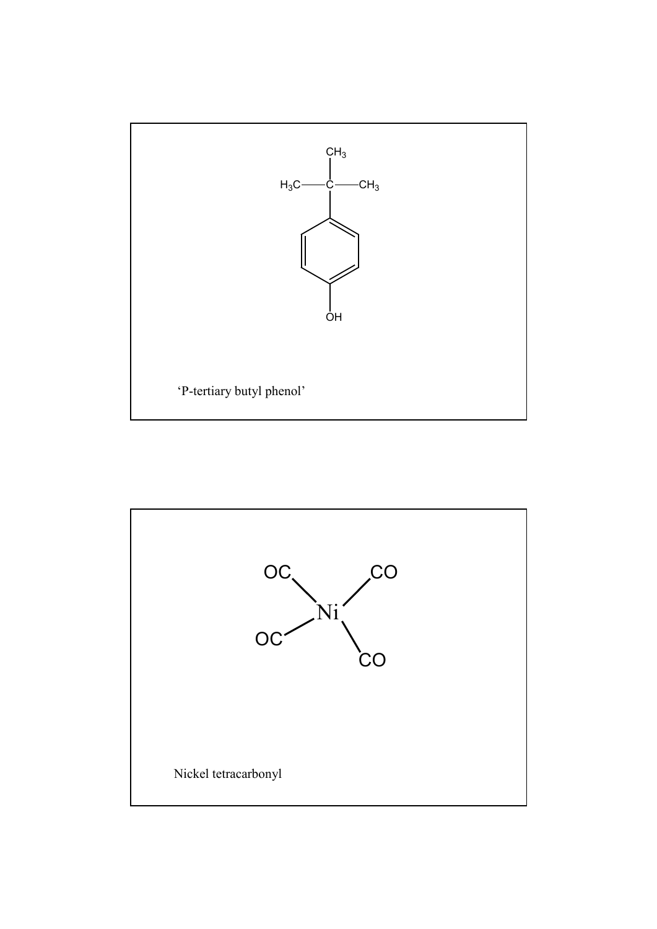

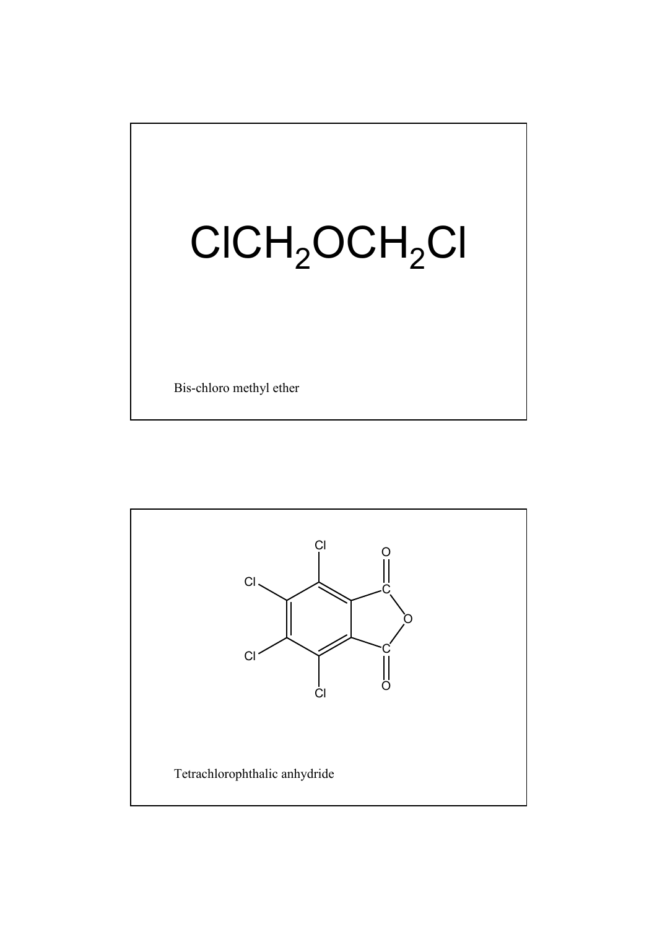

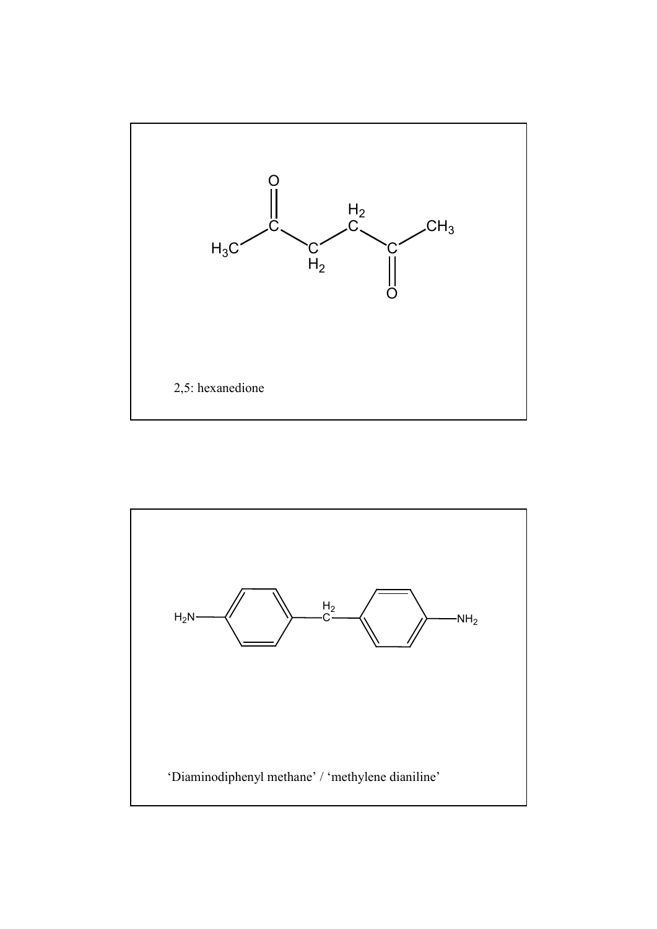

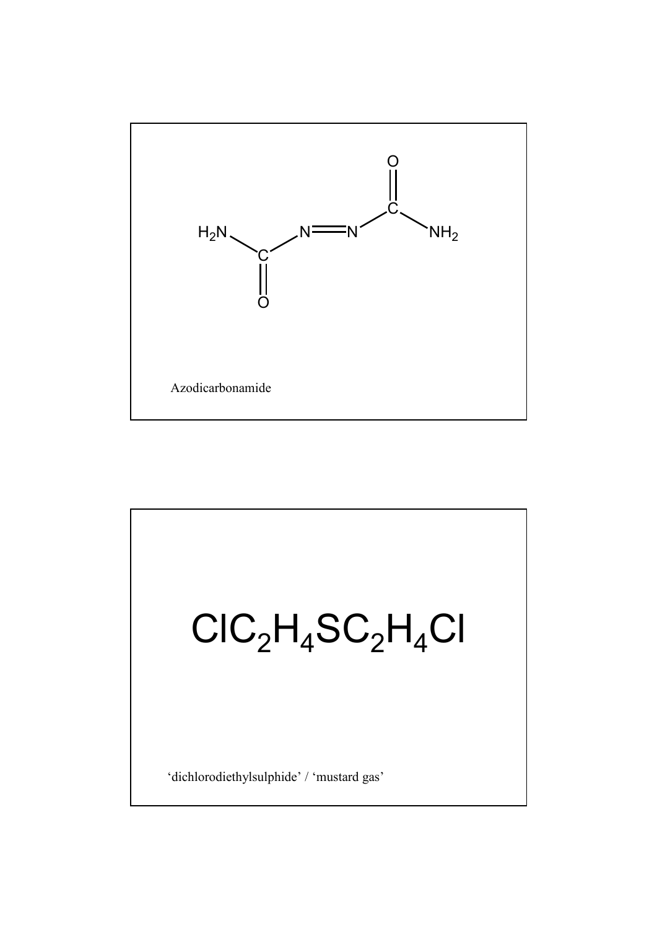

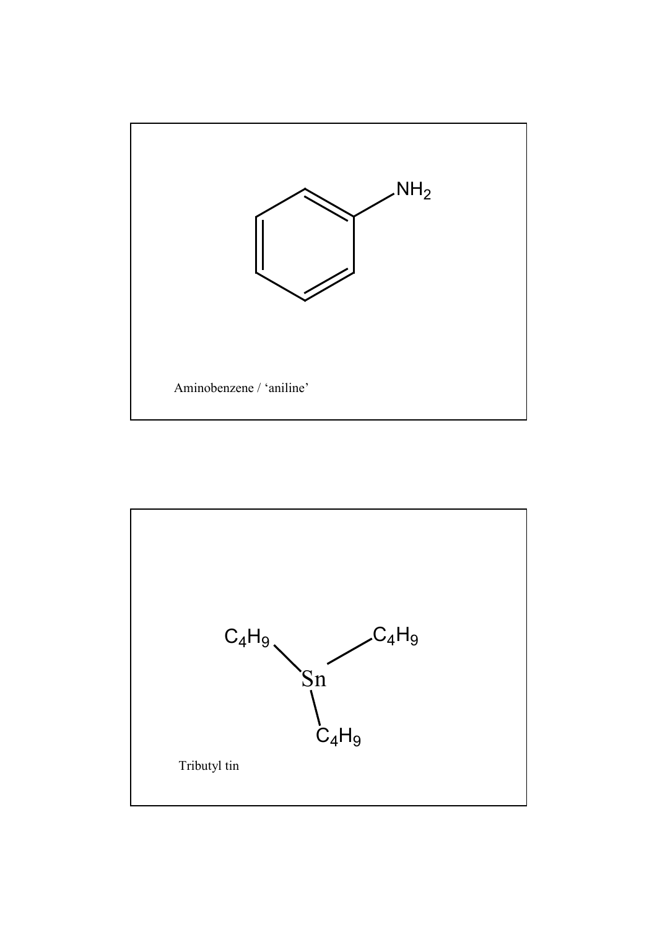

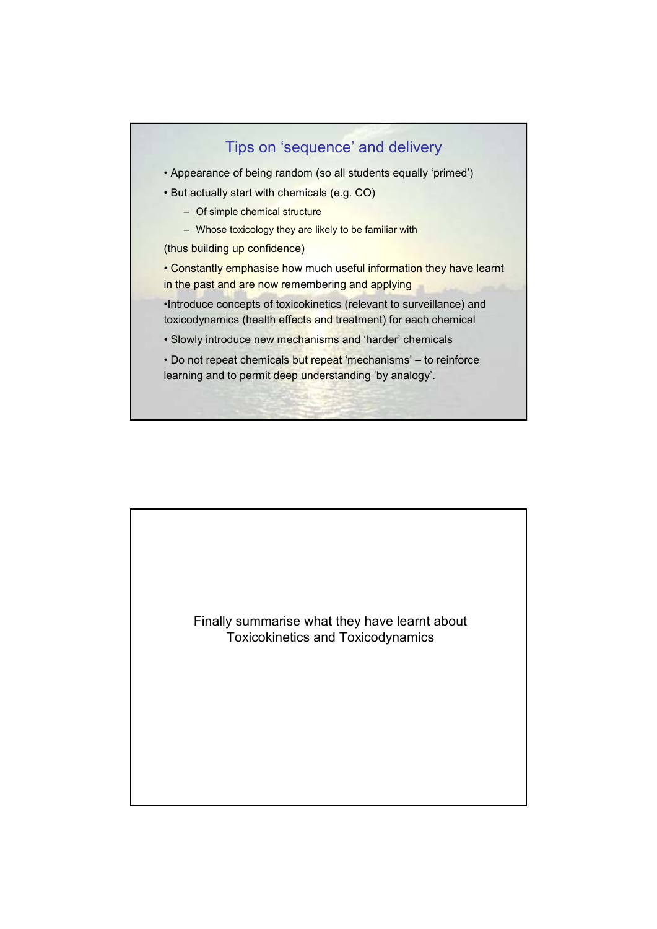#### Tips on 'sequence' and delivery

• Appearance of being random (so all students equally 'primed')

- But actually start with chemicals (e.g. CO)
	- Of simple chemical structure
	- Whose toxicology they are likely to be familiar with

(thus building up confidence)

• Constantly emphasise how much useful information they have learnt in the past and are now remembering and applying

•Introduce concepts of toxicokinetics (relevant to surveillance) and toxicodynamics (health effects and treatment) for each chemical

• Slowly introduce new mechanisms and 'harder' chemicals

• Do not repeat chemicals but repeat 'mechanisms' – to reinforce learning and to permit deep understanding 'by analogy'.

Finally summarise what they have learnt about Toxicokinetics and Toxicodynamics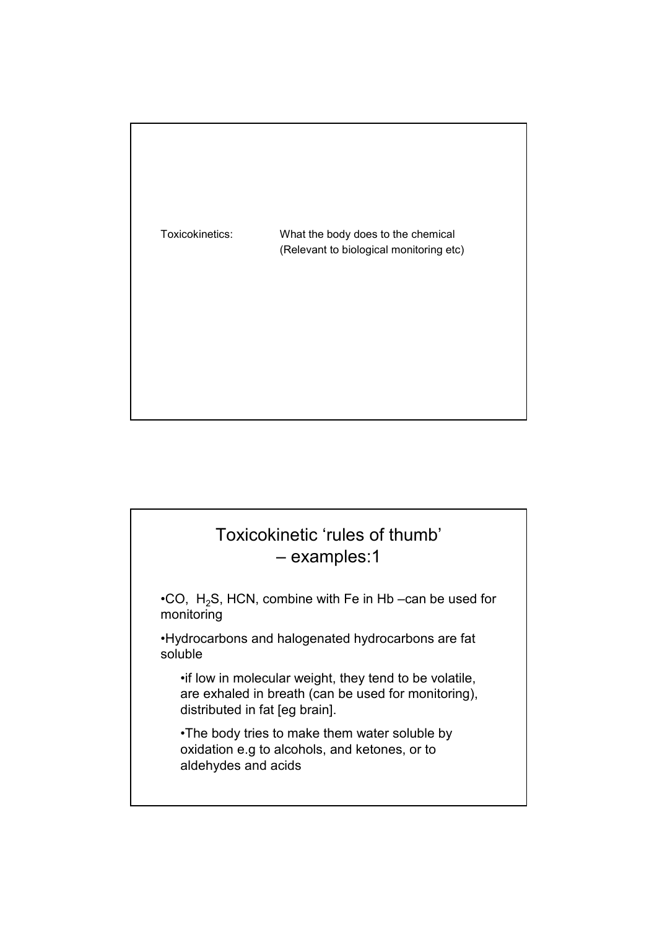

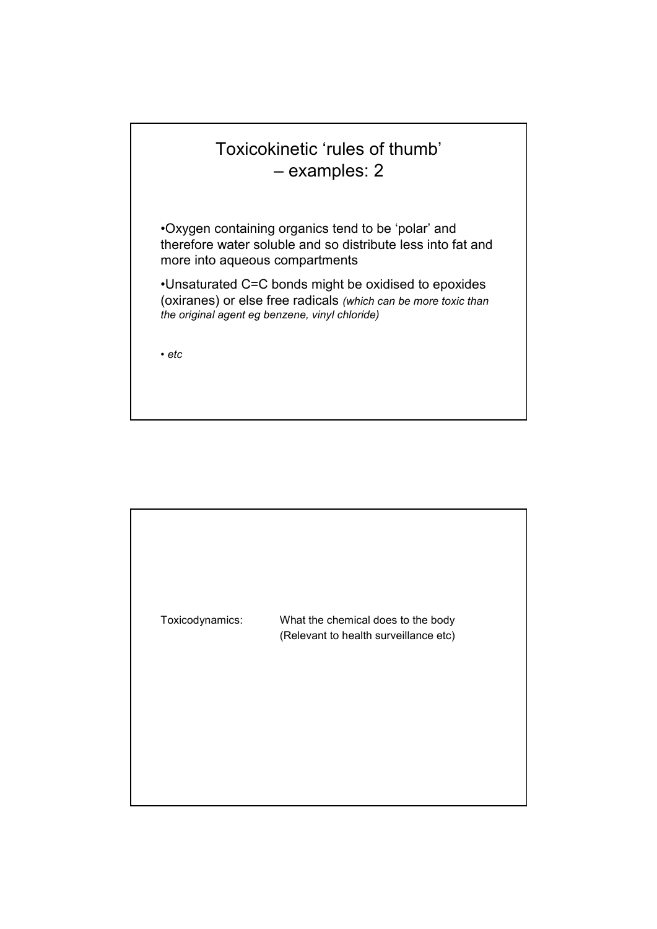#### Toxicokinetic 'rules of thumb' – examples: 2

•Oxygen containing organics tend to be 'polar' and therefore water soluble and so distribute less into fat and more into aqueous compartments

•Unsaturated C=C bonds might be oxidised to epoxides (oxiranes) or else free radicals *(which can be more toxic than the original agent eg benzene, vinyl chloride)*

• *etc*

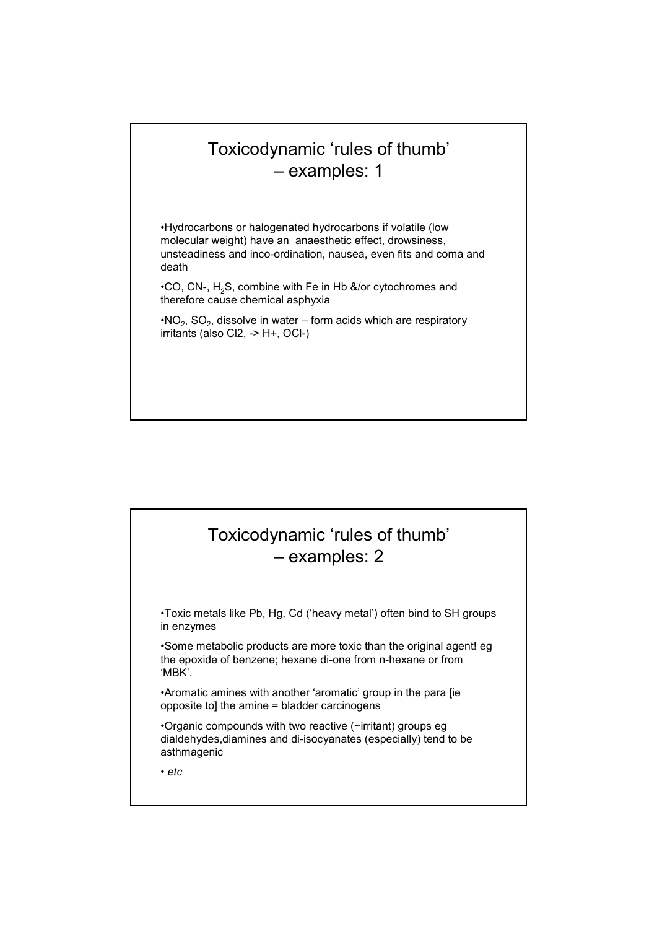

•Hydrocarbons or halogenated hydrocarbons if volatile (low molecular weight) have an anaesthetic effect, drowsiness, unsteadiness and inco-ordination, nausea, even fits and coma and death

•CO, CN-, H2S, combine with Fe in Hb &/or cytochromes and therefore cause chemical asphyxia

 $\cdot$ NO<sub>2</sub>, SO<sub>2</sub>, dissolve in water – form acids which are respiratory irritants (also Cl2, -> H+, OCl-)

## Toxicodynamic 'rules of thumb' – examples: 2

•Toxic metals like Pb, Hg, Cd ('heavy metal') often bind to SH groups in enzymes

•Some metabolic products are more toxic than the original agent! eg the epoxide of benzene; hexane di-one from n-hexane or from 'MBK'.

•Aromatic amines with another 'aromatic' group in the para [ie opposite to] the amine = bladder carcinogens

•Organic compounds with two reactive (~irritant) groups eg dialdehydes,diamines and di-isocyanates (especially) tend to be asthmagenic

• *etc*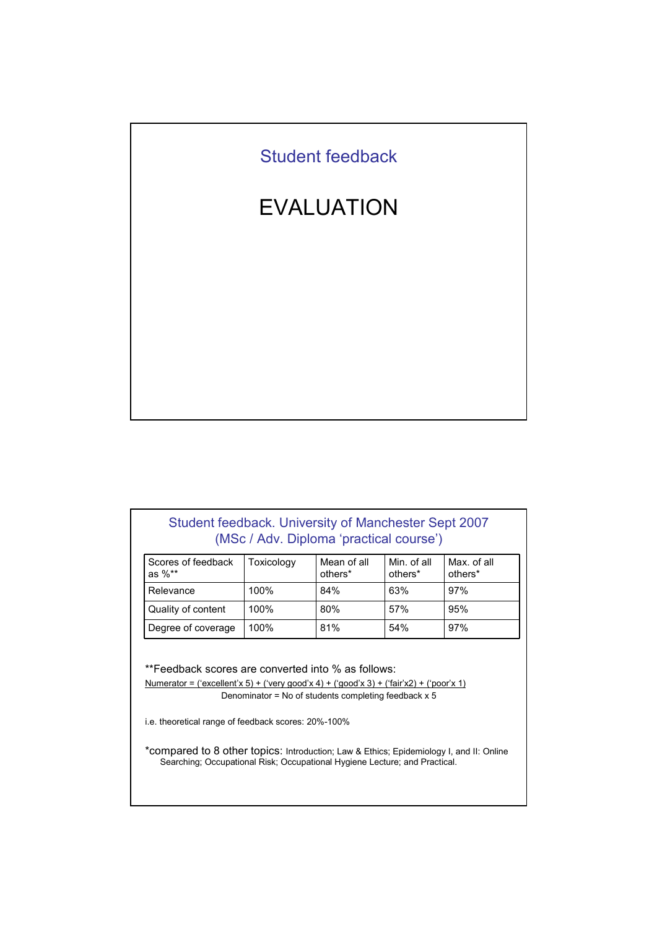#### Student feedback

# EVALUATION

#### Student feedback. University of Manchester Sept 2007 (MSc / Adv. Diploma 'practical course')

| Scores of feedback<br>as $%^{**}$ | Toxicology | Mean of all<br>others* | Min. of all<br>others* | Max, of all<br>others* |
|-----------------------------------|------------|------------------------|------------------------|------------------------|
| Relevance                         | 100%       | 84%                    | 63%                    | 97%                    |
| Quality of content                | 100%       | 80%                    | 57%                    | 95%                    |
| Degree of coverage                | 100%       | 81%                    | 54%                    | 97%                    |

\*\*Feedback scores are converted into % as follows:

Numerator =  $('except't x 5) + ('very good' x 4) + ('good' x 3) + ('fair' x 2) + ('poor' x 1)$ Denominator = No of students completing feedback x 5

i.e. theoretical range of feedback scores: 20%-100%

\*compared to 8 other topics: Introduction; Law & Ethics; Epidemiology I, and II: Online Searching; Occupational Risk; Occupational Hygiene Lecture; and Practical.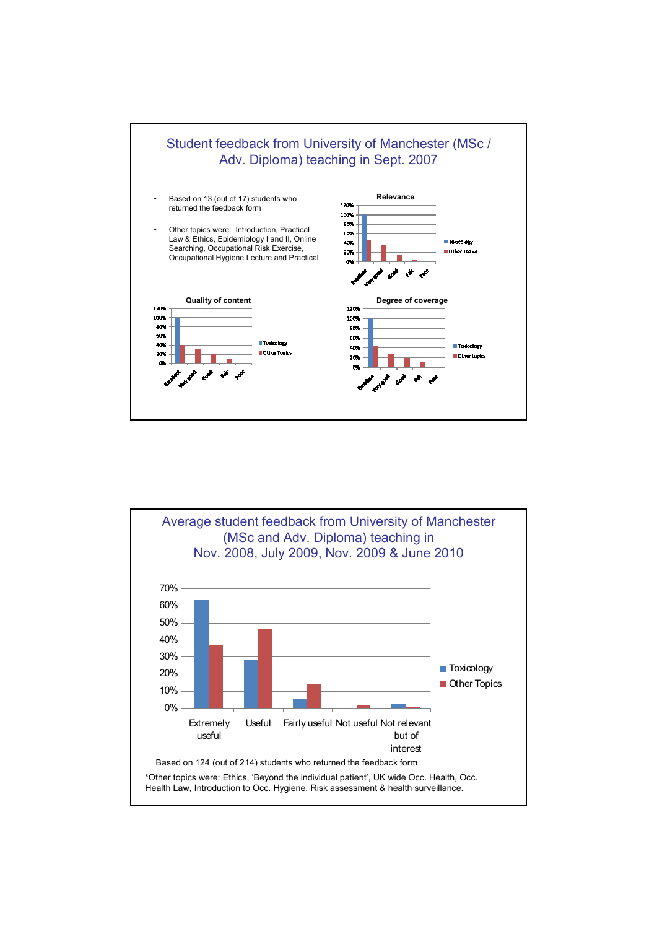

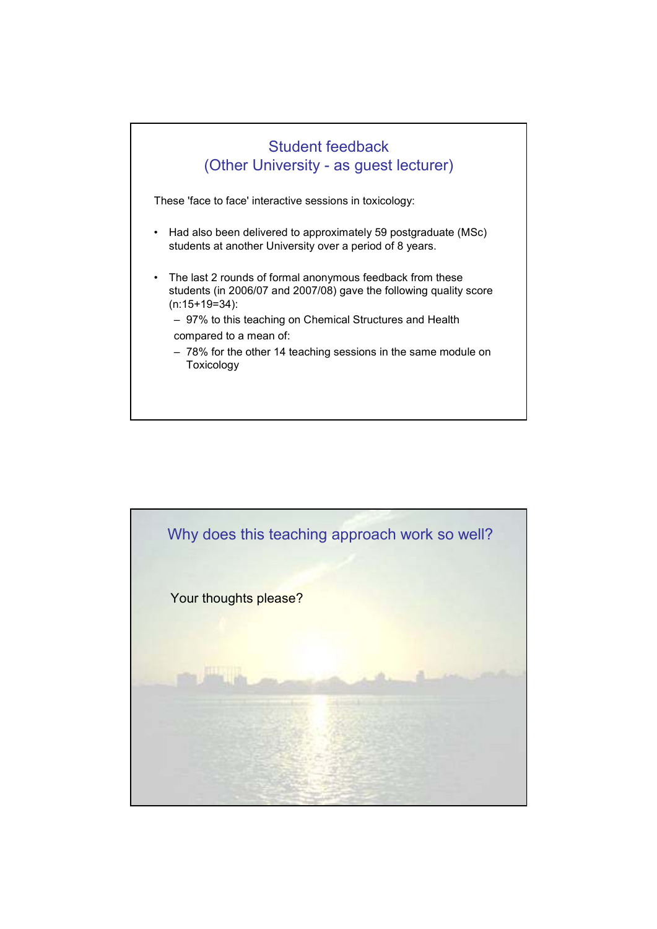